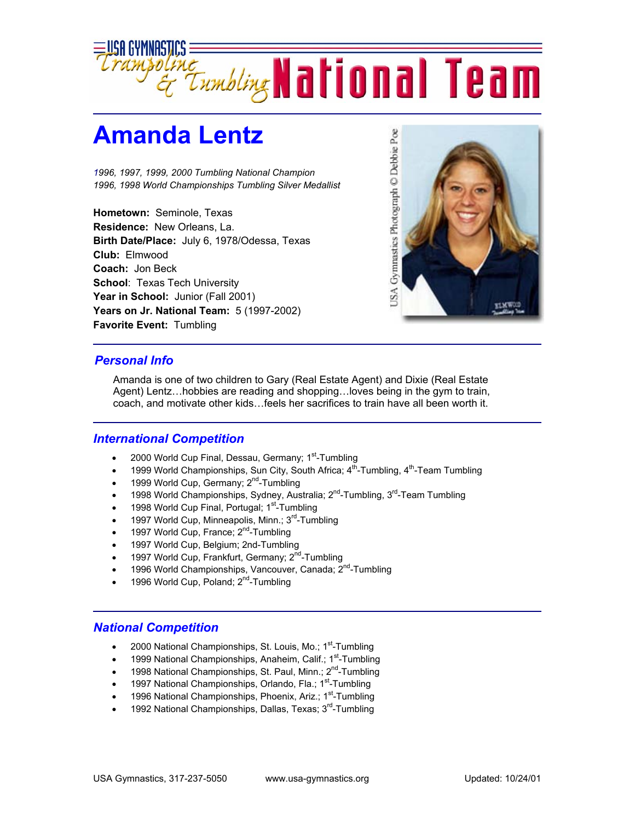

## **Amanda Lentz**

*1996, 1997, 1999, 2000 Tumbling National Champion 1996, 1998 World Championships Tumbling Silver Medallist*

**Hometown:** Seminole, Texas **Residence:** New Orleans, La. **Birth Date/Place:** July 6, 1978/Odessa, Texas **Club:** Elmwood **Coach:** Jon Beck **School**: Texas Tech University Year in School: Junior (Fall 2001) **Years on Jr. National Team:** 5 (1997-2002) **Favorite Event:** Tumbling



## *Personal Info*

Amanda is one of two children to Gary (Real Estate Agent) and Dixie (Real Estate Agent) Lentz…hobbies are reading and shopping…loves being in the gym to train, coach, and motivate other kids…feels her sacrifices to train have all been worth it.

## *International Competition*

- 2000 World Cup Final, Dessau, Germany; 1<sup>st</sup>-Tumbling
- 1999 World Championships, Sun City, South Africa;  $4<sup>th</sup>$ -Tumbling,  $4<sup>th</sup>$ -Team Tumbling
- 1999 World Cup, Germany;  $2^{nd}$ -Tumbling
- 1998 World Championships, Sydney, Australia; 2nd-Tumbling, 3rd-Team Tumbling
- 1998 World Cup Final, Portugal; 1<sup>st</sup>-Tumbling
- 1997 World Cup, Minneapolis, Minn.; 3<sup>rd</sup>-Tumbling
- 1997 World Cup, France;  $2<sup>nd</sup>$ -Tumbling
- 1997 World Cup, Belgium; 2nd-Tumbling
- 1997 World Cup, Frankfurt, Germany; 2<sup>nd</sup>-Tumbling
- 1996 World Championships, Vancouver, Canada; 2<sup>nd</sup>-Tumbling
- 1996 World Cup, Poland; 2<sup>nd</sup>-Tumbling

## *National Competition*

- 2000 National Championships, St. Louis, Mo.; 1<sup>st</sup>-Tumbling
- 1999 National Championships, Anaheim, Calif.; 1<sup>st</sup>-Tumbling
- 1998 National Championships, St. Paul, Minn.; 2<sup>nd</sup>-Tumbling
- 1997 National Championships, Orlando, Fla.;  $1<sup>st</sup>$ -Tumbling
- 1996 National Championships, Phoenix, Ariz.;  $1^{st}$ -Tumbling
- 1992 National Championships, Dallas, Texas; 3<sup>rd</sup>-Tumbling